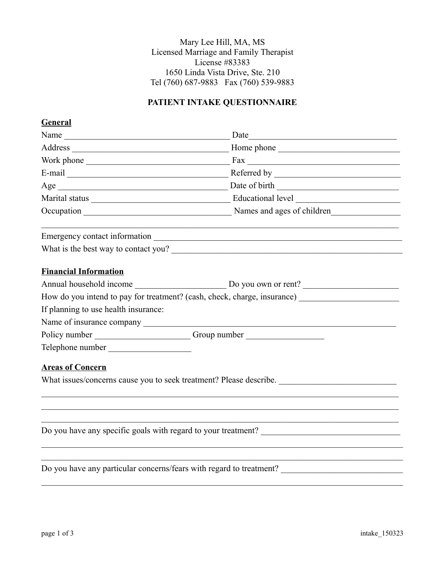Mary Lee Hill, MA, MS Licensed Marriage and Family Therapist License #83383 1650 Linda Vista Drive, Ste. 210 Tel (760) 687-9883 Fax (760) 539-9883

# **PATIENT INTAKE QUESTIONNAIRE**

## **General**

| Name                                                               |                                                                                  |
|--------------------------------------------------------------------|----------------------------------------------------------------------------------|
|                                                                    | Home phone                                                                       |
|                                                                    |                                                                                  |
|                                                                    |                                                                                  |
|                                                                    |                                                                                  |
|                                                                    |                                                                                  |
|                                                                    |                                                                                  |
|                                                                    |                                                                                  |
| What is the best way to contact you?                               |                                                                                  |
| <b>Financial Information</b>                                       |                                                                                  |
|                                                                    |                                                                                  |
|                                                                    | How do you intend to pay for treatment? (cash, check, charge, insurance)         |
| If planning to use health insurance:                               |                                                                                  |
|                                                                    |                                                                                  |
|                                                                    | Policy number _______________________Group number ______________________________ |
| Telephone number                                                   |                                                                                  |
| <b>Areas of Concern</b>                                            |                                                                                  |
| What issues/concerns cause you to seek treatment? Please describe. |                                                                                  |
|                                                                    |                                                                                  |
|                                                                    |                                                                                  |
|                                                                    |                                                                                  |
|                                                                    | Do you have any particular concerns/fears with regard to treatment?              |
|                                                                    |                                                                                  |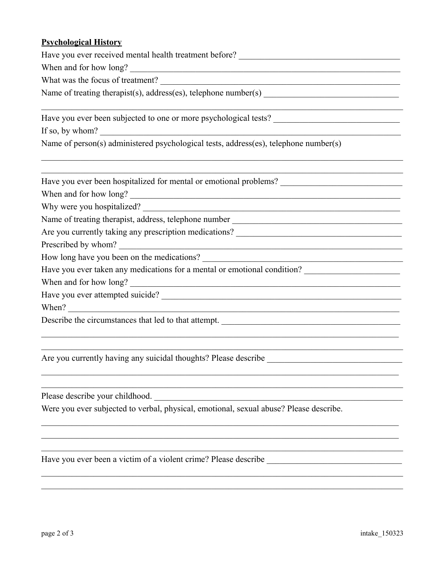### **Psychological History**

Have you ever received mental health treatment before? \_\_\_\_\_\_\_\_\_\_\_\_\_\_\_\_\_\_\_\_\_\_\_\_\_

When and for how long?

What was the focus of treatment?

Name of treating therapist(s), address(es), telephone number(s) \_\_\_\_\_\_\_\_\_\_\_\_\_\_\_\_\_\_\_\_\_\_\_\_\_\_\_\_\_\_\_

Have you ever been subjected to one or more psychological tests?

If so, by whom?

Name of person(s) administered psychological tests, address(es), telephone number(s)

 $\_$  , and the contribution of the contribution of the contribution of the contribution of  $\mathcal{L}_\text{max}$ 

 $\_$  , and the contribution of the contribution of the contribution of the contribution of  $\mathcal{L}_\text{max}$  $\_$  , and the contribution of the contribution of the contribution of the contribution of  $\mathcal{L}_\text{max}$ 

 $\_$  , and the contribution of the contribution of the contribution of the contribution of  $\mathcal{L}_\text{max}$  $\_$  , and the contribution of the contribution of the contribution of the contribution of  $\mathcal{L}_\text{max}$ 

 $\_$  , and the contribution of the contribution of the contribution of the contribution of  $\mathcal{L}_\text{max}$  $\mathcal{L}_\mathcal{L} = \{ \mathcal{L}_\mathcal{L} = \{ \mathcal{L}_\mathcal{L} = \{ \mathcal{L}_\mathcal{L} = \{ \mathcal{L}_\mathcal{L} = \{ \mathcal{L}_\mathcal{L} = \{ \mathcal{L}_\mathcal{L} = \{ \mathcal{L}_\mathcal{L} = \{ \mathcal{L}_\mathcal{L} = \{ \mathcal{L}_\mathcal{L} = \{ \mathcal{L}_\mathcal{L} = \{ \mathcal{L}_\mathcal{L} = \{ \mathcal{L}_\mathcal{L} = \{ \mathcal{L}_\mathcal{L} = \{ \mathcal{L}_\mathcal{$ 

 $\_$  , and the contribution of the contribution of the contribution of the contribution of  $\mathcal{L}_\text{max}$  $\_$  , and the contribution of the contribution of the contribution of the contribution of  $\mathcal{L}_\text{max}$  $\mathcal{L}_\mathcal{L} = \{ \mathcal{L}_\mathcal{L} = \{ \mathcal{L}_\mathcal{L} = \{ \mathcal{L}_\mathcal{L} = \{ \mathcal{L}_\mathcal{L} = \{ \mathcal{L}_\mathcal{L} = \{ \mathcal{L}_\mathcal{L} = \{ \mathcal{L}_\mathcal{L} = \{ \mathcal{L}_\mathcal{L} = \{ \mathcal{L}_\mathcal{L} = \{ \mathcal{L}_\mathcal{L} = \{ \mathcal{L}_\mathcal{L} = \{ \mathcal{L}_\mathcal{L} = \{ \mathcal{L}_\mathcal{L} = \{ \mathcal{L}_\mathcal{$ 

 $\_$  , and the contribution of the contribution of the contribution of the contribution of  $\mathcal{L}_\text{max}$  $\_$  , and the contribution of the contribution of the contribution of the contribution of  $\mathcal{L}_\text{max}$ 

Have you ever been hospitalized for mental or emotional problems?

When and for how long?

Why were you hospitalized?

Name of treating therapist, address, telephone number \_\_\_\_\_\_\_\_\_\_\_\_\_\_\_\_\_\_\_\_\_\_\_\_\_\_\_\_\_\_\_\_\_\_\_\_\_\_\_

Are you currently taking any prescription medications?

Prescribed by whom?

How long have you been on the medications?

Have you ever taken any medications for a mental or emotional condition?

When and for how long? \_\_\_\_\_\_\_\_\_\_\_\_\_\_\_\_\_\_\_\_\_\_\_\_\_\_\_\_\_\_\_\_\_\_\_\_\_\_\_\_\_\_\_\_\_\_\_\_\_\_\_\_\_\_\_\_\_\_\_\_\_\_

Have you ever attempted suicide? \_\_\_\_\_\_\_\_\_\_\_\_\_\_\_\_\_\_\_\_\_\_\_\_\_\_\_\_\_\_\_\_\_\_\_\_\_\_\_\_\_\_\_\_\_\_\_\_\_\_\_\_\_\_\_

When?

Describe the circumstances that led to that attempt.

Are you currently having any suicidal thoughts? Please describe \_\_\_\_\_\_\_\_\_\_\_\_\_\_\_\_\_\_\_\_\_\_\_\_\_\_\_\_\_\_\_

Please describe your childhood.

Were you ever subjected to verbal, physical, emotional, sexual abuse? Please describe.

Have you ever been a victim of a violent crime? Please describe \_\_\_\_\_\_\_\_\_\_\_\_\_\_\_\_\_\_\_\_\_\_\_\_\_\_\_\_\_\_\_